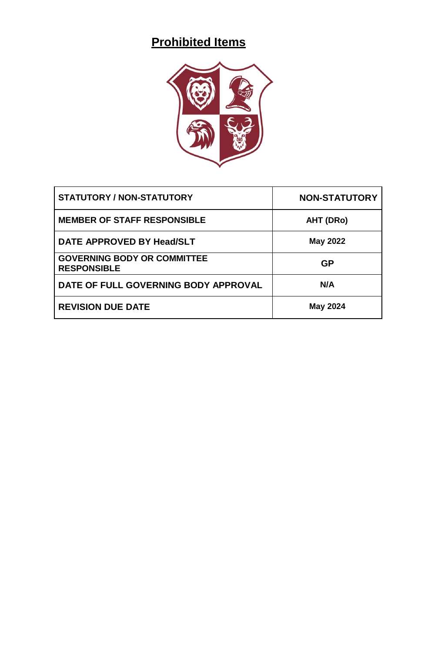# **Prohibited Items**



| <b>STATUTORY / NON-STATUTORY</b>                         | <b>NON-STATUTORY</b> |
|----------------------------------------------------------|----------------------|
| <b>MEMBER OF STAFF RESPONSIBLE</b>                       | AHT (DRo)            |
| DATE APPROVED BY Head/SLT                                | <b>May 2022</b>      |
| <b>GOVERNING BODY OR COMMITTEE</b><br><b>RESPONSIBLE</b> | <b>GP</b>            |
| DATE OF FULL GOVERNING BODY APPROVAL                     | N/A                  |
| <b>REVISION DUE DATE</b>                                 | <b>May 2024</b>      |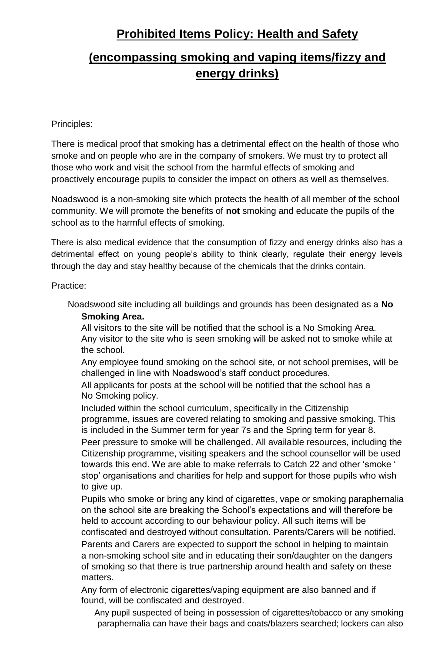### **Prohibited Items Policy: Health and Safety**

## **(encompassing smoking and vaping items/fizzy and energy drinks)**

### Principles:

There is medical proof that smoking has a detrimental effect on the health of those who smoke and on people who are in the company of smokers. We must try to protect all those who work and visit the school from the harmful effects of smoking and proactively encourage pupils to consider the impact on others as well as themselves.

Noadswood is a non-smoking site which protects the health of all member of the school community. We will promote the benefits of **not** smoking and educate the pupils of the school as to the harmful effects of smoking.

There is also medical evidence that the consumption of fizzy and energy drinks also has a detrimental effect on young people's ability to think clearly, regulate their energy levels through the day and stay healthy because of the chemicals that the drinks contain.

### Practice:

Noadswood site including all buildings and grounds has been designated as a **No Smoking Area.**

All visitors to the site will be notified that the school is a No Smoking Area. Any visitor to the site who is seen smoking will be asked not to smoke while at the school.

Any employee found smoking on the school site, or not school premises, will be challenged in line with Noadswood's staff conduct procedures.

All applicants for posts at the school will be notified that the school has a No Smoking policy.

Included within the school curriculum, specifically in the Citizenship programme, issues are covered relating to smoking and passive smoking. This is included in the Summer term for year 7s and the Spring term for year 8.

Peer pressure to smoke will be challenged. All available resources, including the Citizenship programme, visiting speakers and the school counsellor will be used towards this end. We are able to make referrals to Catch 22 and other 'smoke ' stop' organisations and charities for help and support for those pupils who wish to give up.

Pupils who smoke or bring any kind of cigarettes, vape or smoking paraphernalia on the school site are breaking the School's expectations and will therefore be held to account according to our behaviour policy. All such items will be confiscated and destroyed without consultation. Parents/Carers will be notified. Parents and Carers are expected to support the school in helping to maintain a non-smoking school site and in educating their son/daughter on the dangers of smoking so that there is true partnership around health and safety on these matters.

Any form of electronic cigarettes/vaping equipment are also banned and if found, will be confiscated and destroyed.

Any pupil suspected of being in possession of cigarettes/tobacco or any smoking paraphernalia can have their bags and coats/blazers searched; lockers can also